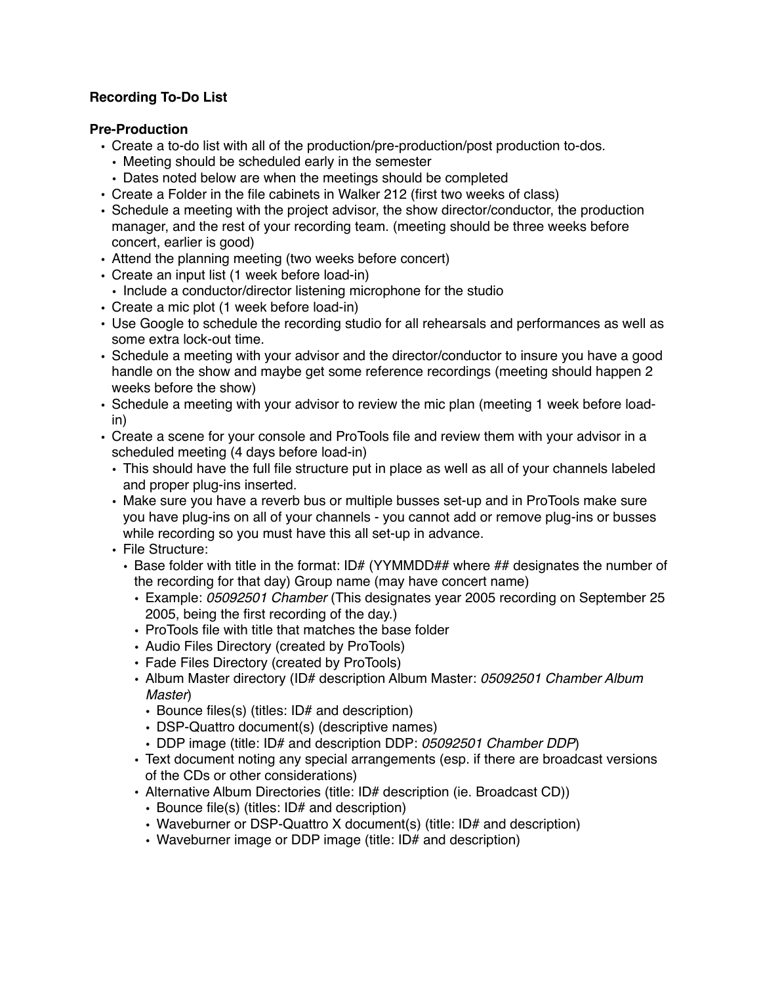# **Recording To-Do List**

#### **Pre-Production**

- Create a to-do list with all of the production/pre-production/post production to-dos.
	- Meeting should be scheduled early in the semester
- Dates noted below are when the meetings should be completed
- Create a Folder in the file cabinets in Walker 212 (first two weeks of class)
- Schedule a meeting with the project advisor, the show director/conductor, the production manager, and the rest of your recording team. (meeting should be three weeks before concert, earlier is good)
- Attend the planning meeting (two weeks before concert)
- Create an input list (1 week before load-in)
- Include a conductor/director listening microphone for the studio
- Create a mic plot (1 week before load-in)
- Use Google to schedule the recording studio for all rehearsals and performances as well as some extra lock-out time.
- Schedule a meeting with your advisor and the director/conductor to insure you have a good handle on the show and maybe get some reference recordings (meeting should happen 2 weeks before the show)
- Schedule a meeting with your advisor to review the mic plan (meeting 1 week before loadin)
- Create a scene for your console and ProTools file and review them with your advisor in a scheduled meeting (4 days before load-in)
	- This should have the full file structure put in place as well as all of your channels labeled and proper plug-ins inserted.
	- Make sure you have a reverb bus or multiple busses set-up and in ProTools make sure you have plug-ins on all of your channels - you cannot add or remove plug-ins or busses while recording so you must have this all set-up in advance.
	- File Structure:
		- Base folder with title in the format: ID# (YYMMDD## where ## designates the number of the recording for that day) Group name (may have concert name)
			- Example: *05092501 Chamber* (This designates year 2005 recording on September 25 2005, being the first recording of the day.)
			- ProTools file with title that matches the base folder
			- Audio Files Directory (created by ProTools)
			- Fade Files Directory (created by ProTools)
			- Album Master directory (ID# description Album Master: *05092501 Chamber Album Master*)
				- Bounce files(s) (titles: ID# and description)
				- DSP-Quattro document(s) (descriptive names)
				- DDP image (title: ID# and description DDP: *05092501 Chamber DDP*)
			- Text document noting any special arrangements (esp. if there are broadcast versions of the CDs or other considerations)
			- Alternative Album Directories (title: ID# description (ie. Broadcast CD))
				- Bounce file(s) (titles: ID# and description)
				- Waveburner or DSP-Quattro X document(s) (title: ID# and description)
				- Waveburner image or DDP image (title: ID# and description)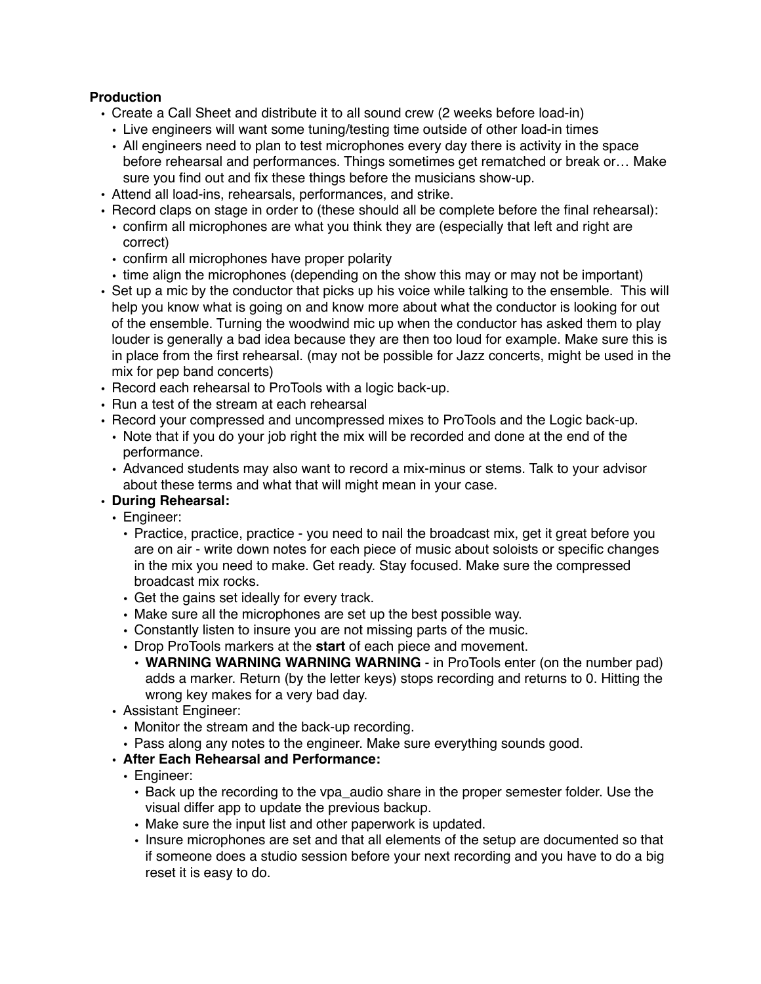# **Production**

- Create a Call Sheet and distribute it to all sound crew (2 weeks before load-in)
	- Live engineers will want some tuning/testing time outside of other load-in times
	- All engineers need to plan to test microphones every day there is activity in the space before rehearsal and performances. Things sometimes get rematched or break or… Make sure you find out and fix these things before the musicians show-up.
- Attend all load-ins, rehearsals, performances, and strike.
- Record claps on stage in order to (these should all be complete before the final rehearsal):
- confirm all microphones are what you think they are (especially that left and right are correct)
- confirm all microphones have proper polarity
- time align the microphones (depending on the show this may or may not be important)
- Set up a mic by the conductor that picks up his voice while talking to the ensemble. This will help you know what is going on and know more about what the conductor is looking for out of the ensemble. Turning the woodwind mic up when the conductor has asked them to play louder is generally a bad idea because they are then too loud for example. Make sure this is in place from the first rehearsal. (may not be possible for Jazz concerts, might be used in the mix for pep band concerts)
- Record each rehearsal to ProTools with a logic back-up.
- Run a test of the stream at each rehearsal
- Record your compressed and uncompressed mixes to ProTools and the Logic back-up.
- Note that if you do your job right the mix will be recorded and done at the end of the performance.
- Advanced students may also want to record a mix-minus or stems. Talk to your advisor about these terms and what that will might mean in your case.
- **• During Rehearsal:**
	- Engineer:
		- Practice, practice, practice you need to nail the broadcast mix, get it great before you are on air - write down notes for each piece of music about soloists or specific changes in the mix you need to make. Get ready. Stay focused. Make sure the compressed broadcast mix rocks.
		- Get the gains set ideally for every track.
		- Make sure all the microphones are set up the best possible way.
		- Constantly listen to insure you are not missing parts of the music.
		- Drop ProTools markers at the **start** of each piece and movement.
			- **WARNING WARNING WARNING WARNING**  in ProTools enter (on the number pad) adds a marker. Return (by the letter keys) stops recording and returns to 0. Hitting the wrong key makes for a very bad day.
	- Assistant Engineer:
		- Monitor the stream and the back-up recording.
		- Pass along any notes to the engineer. Make sure everything sounds good.
	- **• After Each Rehearsal and Performance:**
		- Engineer:
			- Back up the recording to the vpa\_audio share in the proper semester folder. Use the visual differ app to update the previous backup.
			- Make sure the input list and other paperwork is updated.
			- Insure microphones are set and that all elements of the setup are documented so that if someone does a studio session before your next recording and you have to do a big reset it is easy to do.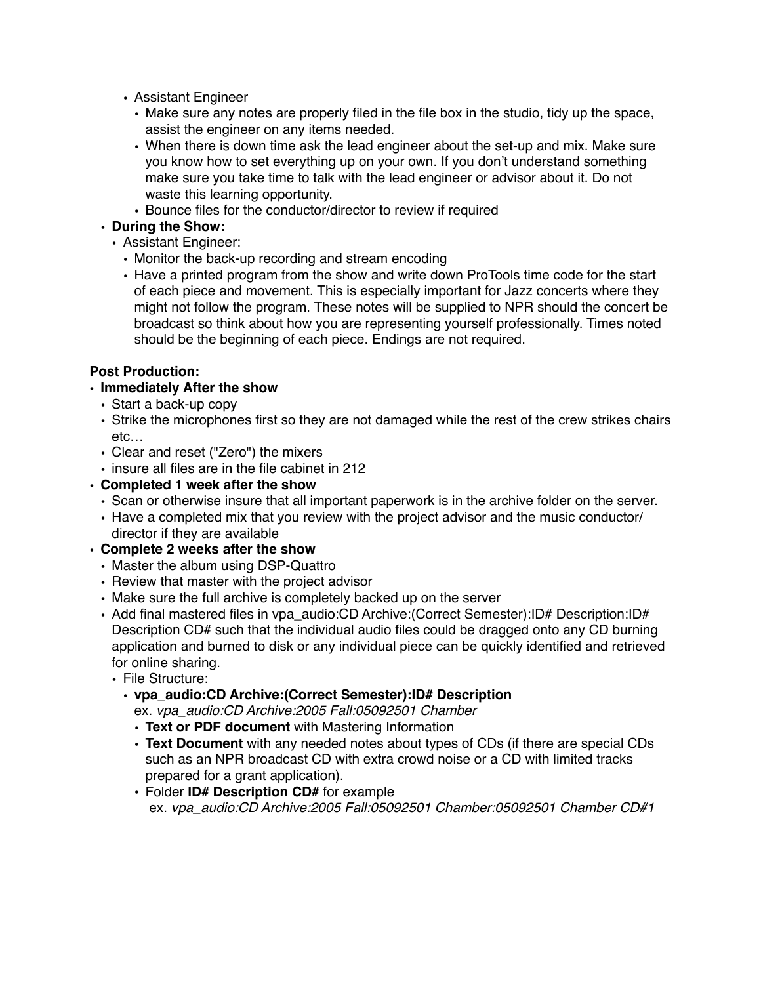- Assistant Engineer
	- Make sure any notes are properly filed in the file box in the studio, tidy up the space, assist the engineer on any items needed.
	- When there is down time ask the lead engineer about the set-up and mix. Make sure you know how to set everything up on your own. If you don't understand something make sure you take time to talk with the lead engineer or advisor about it. Do not waste this learning opportunity.
	- Bounce files for the conductor/director to review if required

# **• During the Show:**

- Assistant Engineer:
	- Monitor the back-up recording and stream encoding
	- Have a printed program from the show and write down ProTools time code for the start of each piece and movement. This is especially important for Jazz concerts where they might not follow the program. These notes will be supplied to NPR should the concert be broadcast so think about how you are representing yourself professionally. Times noted should be the beginning of each piece. Endings are not required.

# **Post Production:**

#### **• Immediately After the show**

- Start a back-up copy
- Strike the microphones first so they are not damaged while the rest of the crew strikes chairs etc…
- Clear and reset ("Zero") the mixers
- insure all files are in the file cabinet in 212
- **• Completed 1 week after the show**
	- Scan or otherwise insure that all important paperwork is in the archive folder on the server.
	- Have a completed mix that you review with the project advisor and the music conductor/ director if they are available
- **• Complete 2 weeks after the show**
	- Master the album using DSP-Quattro
	- Review that master with the project advisor
	- Make sure the full archive is completely backed up on the server
	- Add final mastered files in vpa\_audio:CD Archive:(Correct Semester):ID# Description:ID# Description CD# such that the individual audio files could be dragged onto any CD burning application and burned to disk or any individual piece can be quickly identified and retrieved for online sharing.
		- File Structure:
			- **• vpa\_audio:CD Archive:(Correct Semester):ID# Description**

ex. *vpa\_audio:CD Archive:2005 Fall:05092501 Chamber*

- **Text or PDF document** with Mastering Information
- **Text Document** with any needed notes about types of CDs (if there are special CDs such as an NPR broadcast CD with extra crowd noise or a CD with limited tracks prepared for a grant application).
- Folder **ID# Description CD#** for example ex. *vpa\_audio:CD Archive:2005 Fall:05092501 Chamber:05092501 Chamber CD#1*